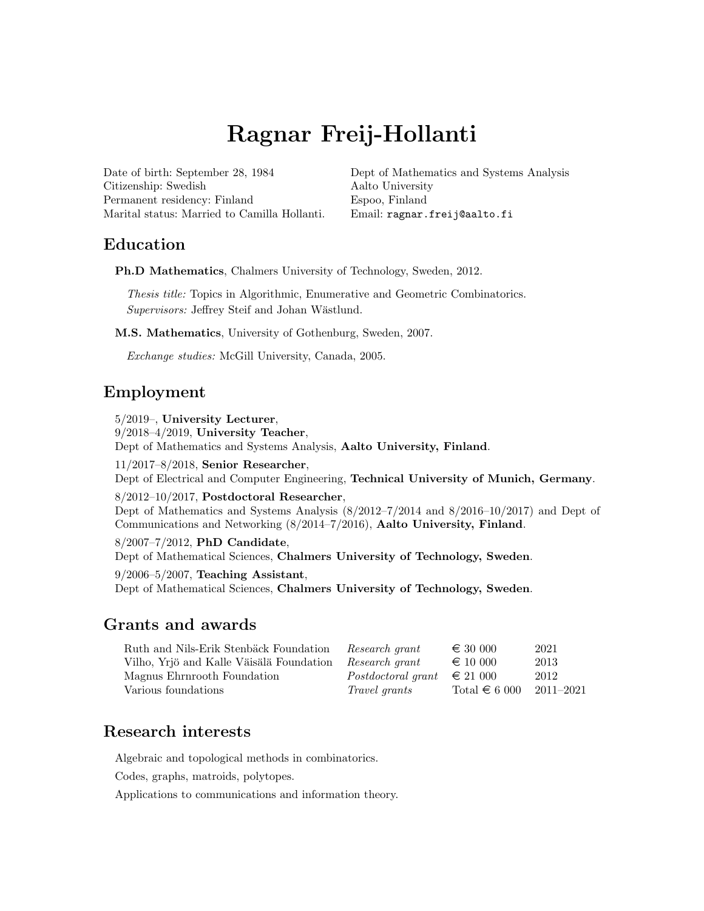# Ragnar Freij-Hollanti

Date of birth: September 28, 1984 Citizenship: Swedish Permanent residency: Finland Marital status: Married to Camilla Hollanti.

[Dept of Mathematics and Systems Analysis](http://www.math.aalto.fi) [Aalto University](https://www.aalto.fi) Espoo, Finland Email: [ragnar.freij@aalto.fi](mailto:ragnar.freij@aalto.fi)

# Education

Ph.D Mathematics, Chalmers University of Technology, Sweden, 2012.

Thesis title: Topics in Algorithmic, Enumerative and Geometric Combinatorics. Supervisors: Jeffrey Steif and Johan Wästlund.

M.S. Mathematics, University of Gothenburg, Sweden, 2007.

Exchange studies: McGill University, Canada, 2005.

# Employment

5/2019–, University Lecturer,

9/2018–4/2019, University Teacher,

Dept of Mathematics and Systems Analysis, Aalto University, Finland.

11/2017–8/2018, Senior Researcher,

Dept of Electrical and Computer Engineering, Technical University of Munich, Germany.

8/2012–10/2017, Postdoctoral Researcher,

Dept of Mathematics and Systems Analysis (8/2012–7/2014 and 8/2016–10/2017) and Dept of Communications and Networking (8/2014–7/2016), Aalto University, Finland.

8/2007–7/2012, PhD Candidate,

Dept of Mathematical Sciences, Chalmers University of Technology, Sweden.

9/2006–5/2007, Teaching Assistant,

Dept of Mathematical Sciences, Chalmers University of Technology, Sweden.

# Grants and awards

| Ruth and Nils-Erik Stenbäck Foundation   | Research grant       | $\epsilon$ 30 000 | 2021          |
|------------------------------------------|----------------------|-------------------|---------------|
| Vilho, Yrjö and Kalle Väisälä Foundation | Research grant       | $\epsilon$ 10 000 | 2013          |
| Magnus Ehrnrooth Foundation              | Postdoctoral grant   | $\epsilon$ 21 000 | 2012          |
| Various foundations                      | <i>Travel grants</i> | Total $\in 6000$  | $2011 - 2021$ |

# Research interests

Algebraic and topological methods in combinatorics.

Codes, graphs, matroids, polytopes.

Applications to communications and information theory.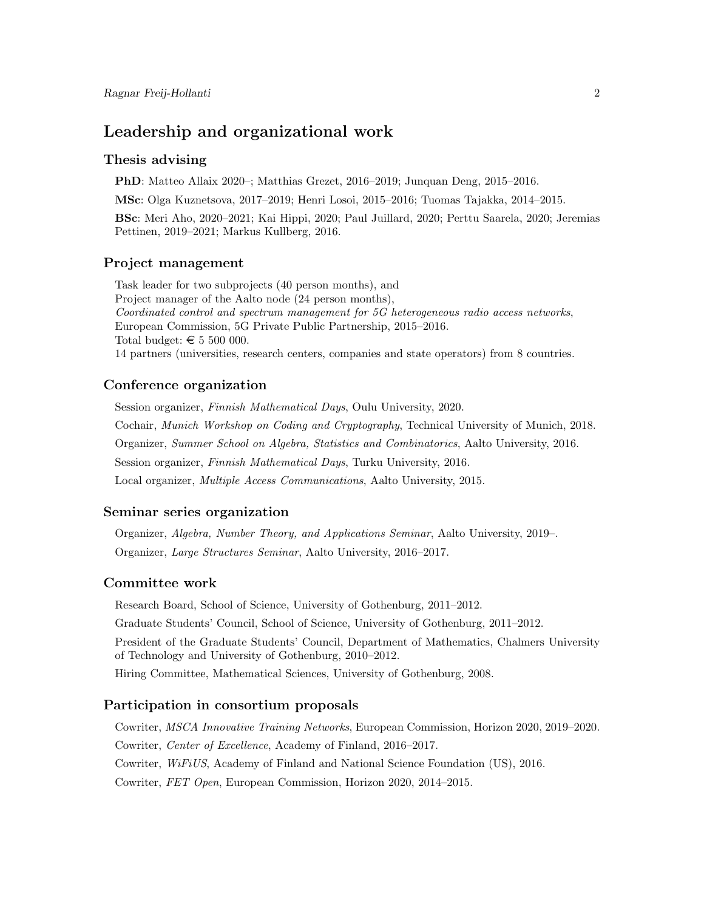# Leadership and organizational work

## Thesis advising

PhD: Matteo Allaix 2020–; Matthias Grezet, 2016–2019; Junquan Deng, 2015–2016.

MSc: Olga Kuznetsova, 2017–2019; Henri Losoi, 2015–2016; Tuomas Tajakka, 2014–2015.

BSc: Meri Aho, 2020–2021; Kai Hippi, 2020; Paul Juillard, 2020; Perttu Saarela, 2020; Jeremias Pettinen, 2019–2021; Markus Kullberg, 2016.

#### Project management

Task leader for two subprojects (40 person months), and Project manager of the Aalto node (24 person months), Coordinated control and spectrum management for 5G heterogeneous radio access networks, European Commission, 5G Private Public Partnership, 2015–2016. Total budget:  $\in 5 500 000$ . 14 partners (universities, research centers, companies and state operators) from 8 countries.

### Conference organization

Session organizer, Finnish Mathematical Days, Oulu University, 2020. Cochair, Munich Workshop on Coding and Cryptography, Technical University of Munich, 2018. Organizer, Summer School on Algebra, Statistics and Combinatorics, Aalto University, 2016. Session organizer, Finnish Mathematical Days, Turku University, 2016. Local organizer, Multiple Access Communications, Aalto University, 2015.

## Seminar series organization

Organizer, Algebra, Number Theory, and Applications Seminar, Aalto University, 2019–. Organizer, Large Structures Seminar, Aalto University, 2016–2017.

#### Committee work

Research Board, School of Science, University of Gothenburg, 2011–2012.

Graduate Students' Council, School of Science, University of Gothenburg, 2011–2012.

President of the Graduate Students' Council, Department of Mathematics, Chalmers University of Technology and University of Gothenburg, 2010–2012.

Hiring Committee, Mathematical Sciences, University of Gothenburg, 2008.

## Participation in consortium proposals

Cowriter, MSCA Innovative Training Networks, European Commission, Horizon 2020, 2019–2020. Cowriter, Center of Excellence, Academy of Finland, 2016–2017. Cowriter, WiFiUS, Academy of Finland and National Science Foundation (US), 2016. Cowriter, FET Open, European Commission, Horizon 2020, 2014–2015.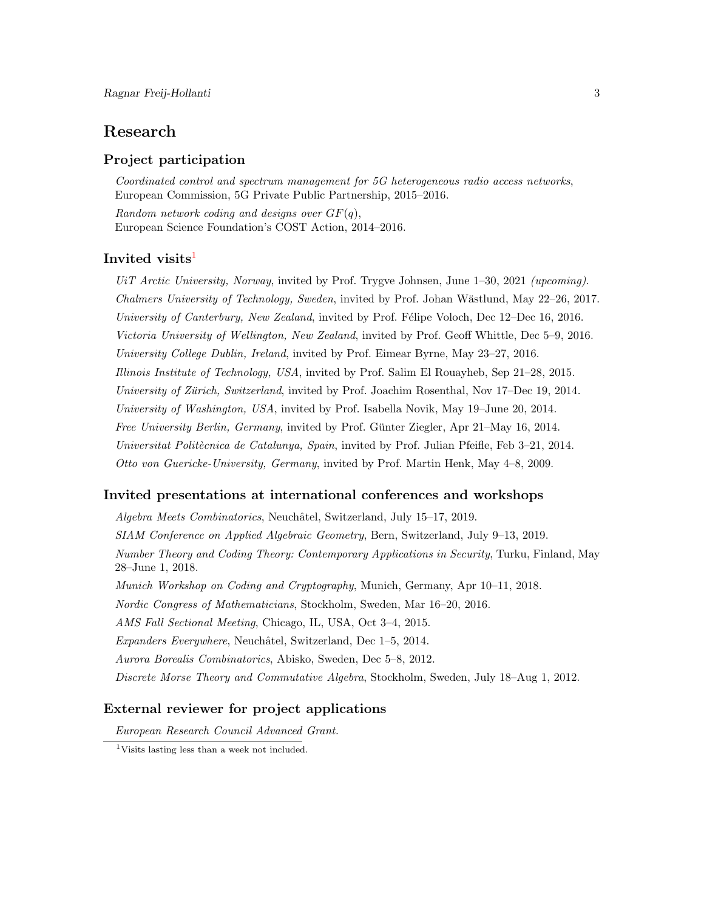# Research

## Project participation

Coordinated control and spectrum management for 5G heterogeneous radio access networks, European Commission, 5G Private Public Partnership, 2015–2016.

Random network coding and designs over  $GF(q)$ , European Science Foundation's COST Action, 2014–2016.

## Invited visits<sup>[1](#page-2-0)</sup>

UiT Arctic University, Norway, invited by Prof. Trygve Johnsen, June 1–30, 2021 (upcoming). Chalmers University of Technology, Sweden, invited by Prof. Johan Wästlund, May 22–26, 2017. University of Canterbury, New Zealand, invited by Prof. Félipe Voloch, Dec 12–Dec 16, 2016. Victoria University of Wellington, New Zealand, invited by Prof. Geoff Whittle, Dec 5–9, 2016. University College Dublin, Ireland, invited by Prof. Eimear Byrne, May 23–27, 2016. Illinois Institute of Technology, USA, invited by Prof. Salim El Rouayheb, Sep 21–28, 2015. University of Zürich, Switzerland, invited by Prof. Joachim Rosenthal, Nov 17–Dec 19, 2014. University of Washington, USA, invited by Prof. Isabella Novik, May 19–June 20, 2014. Free University Berlin, Germany, invited by Prof. Günter Ziegler, Apr 21–May 16, 2014. Universitat Politècnica de Catalunya, Spain, invited by Prof. Julian Pfeifle, Feb  $3-21$ , 2014. Otto von Guericke-University, Germany, invited by Prof. Martin Henk, May 4–8, 2009.

#### Invited presentations at international conferences and workshops

Algebra Meets Combinatorics, Neuchâtel, Switzerland, July 15–17, 2019. SIAM Conference on Applied Algebraic Geometry, Bern, Switzerland, July 9–13, 2019. Number Theory and Coding Theory: Contemporary Applications in Security, Turku, Finland, May 28–June 1, 2018. Munich Workshop on Coding and Cryptography, Munich, Germany, Apr 10–11, 2018. Nordic Congress of Mathematicians, Stockholm, Sweden, Mar 16–20, 2016. AMS Fall Sectional Meeting, Chicago, IL, USA, Oct 3–4, 2015. Expanders Everywhere, Neuchâtel, Switzerland, Dec 1–5, 2014. Aurora Borealis Combinatorics, Abisko, Sweden, Dec 5–8, 2012. Discrete Morse Theory and Commutative Algebra, Stockholm, Sweden, July 18–Aug 1, 2012.

## External reviewer for project applications

European Research Council Advanced Grant.

<span id="page-2-0"></span><sup>1</sup>Visits lasting less than a week not included.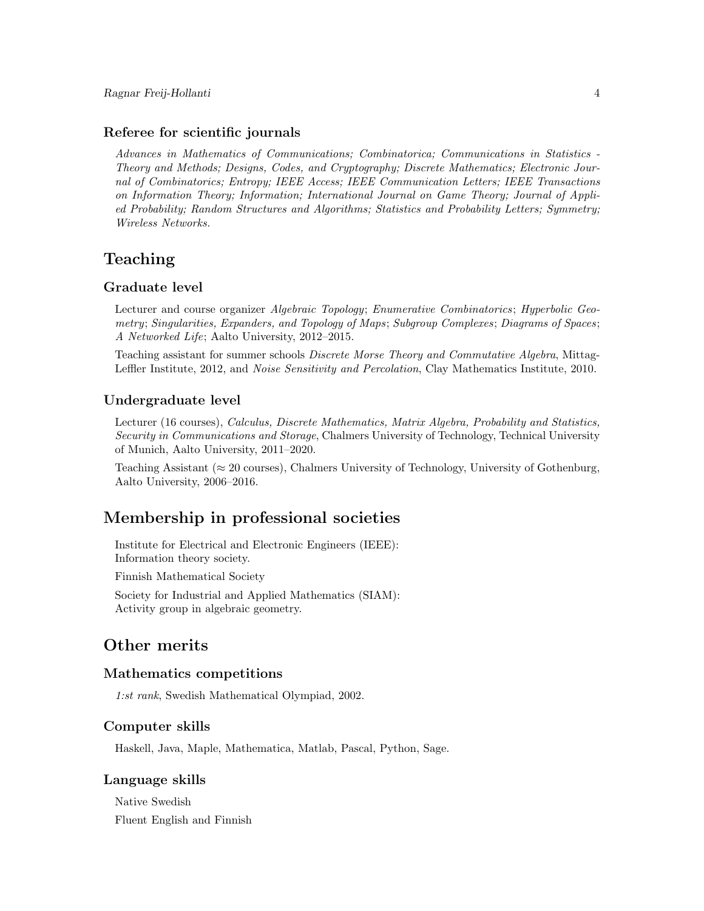#### Referee for scientific journals

Advances in Mathematics of Communications; Combinatorica; Communications in Statistics - Theory and Methods; Designs, Codes, and Cryptography; Discrete Mathematics; Electronic Journal of Combinatorics; Entropy; IEEE Access; IEEE Communication Letters; IEEE Transactions on Information Theory; Information; International Journal on Game Theory; Journal of Applied Probability; Random Structures and Algorithms; Statistics and Probability Letters; Symmetry; Wireless Networks.

# Teaching

## Graduate level

Lecturer and course organizer Algebraic Topology; Enumerative Combinatorics; Hyperbolic Geometry; Singularities, Expanders, and Topology of Maps; Subgroup Complexes; Diagrams of Spaces; A Networked Life; Aalto University, 2012–2015.

Teaching assistant for summer schools Discrete Morse Theory and Commutative Algebra, Mittag-Leffler Institute, 2012, and Noise Sensitivity and Percolation, Clay Mathematics Institute, 2010.

### Undergraduate level

Lecturer (16 courses), Calculus, Discrete Mathematics, Matrix Algebra, Probability and Statistics, Security in Communications and Storage, Chalmers University of Technology, Technical University of Munich, Aalto University, 2011–2020.

Teaching Assistant ( $\approx 20$  courses), Chalmers University of Technology, University of Gothenburg, Aalto University, 2006–2016.

## Membership in professional societies

Institute for Electrical and Electronic Engineers (IEEE): Information theory society.

Finnish Mathematical Society

Society for Industrial and Applied Mathematics (SIAM): Activity group in algebraic geometry.

# Other merits

#### Mathematics competitions

1:st rank, Swedish Mathematical Olympiad, 2002.

## Computer skills

Haskell, Java, Maple, Mathematica, Matlab, Pascal, Python, Sage.

#### Language skills

Native Swedish Fluent English and Finnish